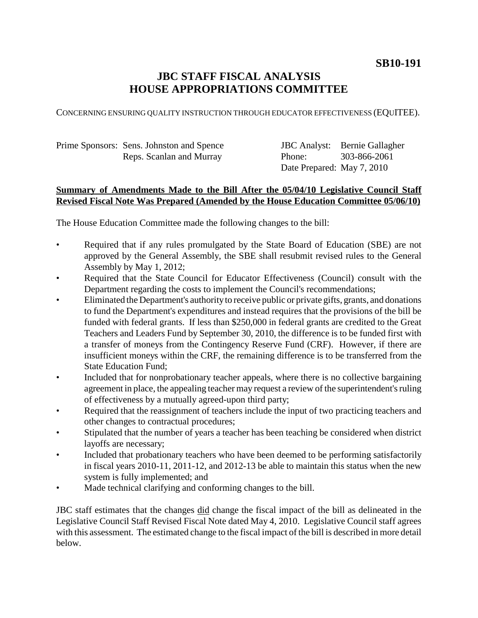# **JBC STAFF FISCAL ANALYSIS HOUSE APPROPRIATIONS COMMITTEE**

CONCERNING ENSURING QUALITY INSTRUCTION THROUGH EDUCATOR EFFECTIVENESS (EQUITEE).

Prime Sponsors: Sens. Johnston and Spence Reps. Scanlan and Murray

JBC Analyst: Bernie Gallagher Phone: Date Prepared: May 7, 2010 303-866-2061

## **Summary of Amendments Made to the Bill After the 05/04/10 Legislative Council Staff Revised Fiscal Note Was Prepared (Amended by the House Education Committee 05/06/10)**

The House Education Committee made the following changes to the bill:

- Required that if any rules promulgated by the State Board of Education (SBE) are not approved by the General Assembly, the SBE shall resubmit revised rules to the General Assembly by May 1, 2012;
- Required that the State Council for Educator Effectiveness (Council) consult with the Department regarding the costs to implement the Council's recommendations;
- Eliminated the Department's authority to receive public or private gifts, grants, and donations to fund the Department's expenditures and instead requires that the provisions of the bill be funded with federal grants. If less than \$250,000 in federal grants are credited to the Great Teachers and Leaders Fund by September 30, 2010, the difference is to be funded first with a transfer of moneys from the Contingency Reserve Fund (CRF). However, if there are insufficient moneys within the CRF, the remaining difference is to be transferred from the State Education Fund;
- Included that for nonprobationary teacher appeals, where there is no collective bargaining agreement in place, the appealing teacher may request a review of the superintendent's ruling of effectiveness by a mutually agreed-upon third party;
- Required that the reassignment of teachers include the input of two practicing teachers and other changes to contractual procedures;
- Stipulated that the number of years a teacher has been teaching be considered when district layoffs are necessary;
- Included that probationary teachers who have been deemed to be performing satisfactorily in fiscal years 2010-11, 2011-12, and 2012-13 be able to maintain this status when the new system is fully implemented; and
- Made technical clarifying and conforming changes to the bill.

JBC staff estimates that the changes did change the fiscal impact of the bill as delineated in the Legislative Council Staff Revised Fiscal Note dated May 4, 2010. Legislative Council staff agrees with this assessment. The estimated change to the fiscal impact of the bill is described in more detail below.